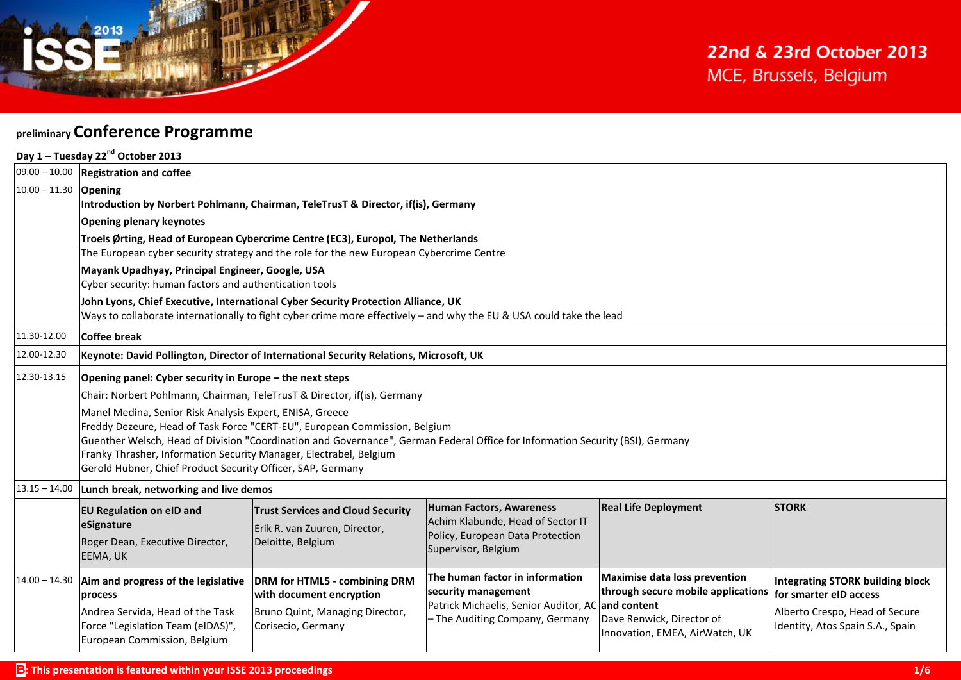

## **preliminary Conference Programme**

|                         | Day 1 - Tuesday 22 <sup>nd</sup> October 2013                                                                                                                                                                                                                                                                                                                                                                 |                                                                                                                    |                                                                                                                                                |                                                                                                                                           |                                                                                                                                         |  |  |
|-------------------------|---------------------------------------------------------------------------------------------------------------------------------------------------------------------------------------------------------------------------------------------------------------------------------------------------------------------------------------------------------------------------------------------------------------|--------------------------------------------------------------------------------------------------------------------|------------------------------------------------------------------------------------------------------------------------------------------------|-------------------------------------------------------------------------------------------------------------------------------------------|-----------------------------------------------------------------------------------------------------------------------------------------|--|--|
|                         | $ 09.00 - 10.00 $ Registration and coffee                                                                                                                                                                                                                                                                                                                                                                     |                                                                                                                    |                                                                                                                                                |                                                                                                                                           |                                                                                                                                         |  |  |
| $10.00 - 11.30$ Opening | Introduction by Norbert Pohlmann, Chairman, TeleTrusT & Director, if(is), Germany                                                                                                                                                                                                                                                                                                                             |                                                                                                                    |                                                                                                                                                |                                                                                                                                           |                                                                                                                                         |  |  |
|                         | <b>Opening plenary keynotes</b>                                                                                                                                                                                                                                                                                                                                                                               |                                                                                                                    |                                                                                                                                                |                                                                                                                                           |                                                                                                                                         |  |  |
|                         | Troels Ørting, Head of European Cybercrime Centre (EC3), Europol, The Netherlands<br>The European cyber security strategy and the role for the new European Cybercrime Centre                                                                                                                                                                                                                                 |                                                                                                                    |                                                                                                                                                |                                                                                                                                           |                                                                                                                                         |  |  |
|                         | Mayank Upadhyay, Principal Engineer, Google, USA<br>Cyber security: human factors and authentication tools                                                                                                                                                                                                                                                                                                    |                                                                                                                    |                                                                                                                                                |                                                                                                                                           |                                                                                                                                         |  |  |
|                         | John Lyons, Chief Executive, International Cyber Security Protection Alliance, UK<br>Ways to collaborate internationally to fight cyber crime more effectively - and why the EU & USA could take the lead                                                                                                                                                                                                     |                                                                                                                    |                                                                                                                                                |                                                                                                                                           |                                                                                                                                         |  |  |
| 11.30-12.00             | Coffee break                                                                                                                                                                                                                                                                                                                                                                                                  |                                                                                                                    |                                                                                                                                                |                                                                                                                                           |                                                                                                                                         |  |  |
| 12.00-12.30             | Keynote: David Pollington, Director of International Security Relations, Microsoft, UK                                                                                                                                                                                                                                                                                                                        |                                                                                                                    |                                                                                                                                                |                                                                                                                                           |                                                                                                                                         |  |  |
| 12.30-13.15             | Opening panel: Cyber security in Europe - the next steps                                                                                                                                                                                                                                                                                                                                                      |                                                                                                                    |                                                                                                                                                |                                                                                                                                           |                                                                                                                                         |  |  |
|                         | Chair: Norbert Pohlmann, Chairman, TeleTrusT & Director, if(is), Germany                                                                                                                                                                                                                                                                                                                                      |                                                                                                                    |                                                                                                                                                |                                                                                                                                           |                                                                                                                                         |  |  |
|                         | Manel Medina, Senior Risk Analysis Expert, ENISA, Greece<br>Freddy Dezeure, Head of Task Force "CERT-EU", European Commission, Belgium<br>Guenther Welsch, Head of Division "Coordination and Governance", German Federal Office for Information Security (BSI), Germany<br>Franky Thrasher, Information Security Manager, Electrabel, Belgium<br>Gerold Hübner, Chief Product Security Officer, SAP, Germany |                                                                                                                    |                                                                                                                                                |                                                                                                                                           |                                                                                                                                         |  |  |
| $13.15 - 14.00$         | Lunch break, networking and live demos                                                                                                                                                                                                                                                                                                                                                                        |                                                                                                                    |                                                                                                                                                |                                                                                                                                           |                                                                                                                                         |  |  |
|                         | <b>EU Regulation on eID and</b><br>eSignature<br>Roger Dean, Executive Director,<br>EEMA, UK                                                                                                                                                                                                                                                                                                                  | <b>Trust Services and Cloud Security</b><br>Erik R. van Zuuren, Director,<br>Deloitte, Belgium                     | Human Factors, Awareness<br>Achim Klabunde, Head of Sector IT<br>Policy, European Data Protection<br>Supervisor, Belgium                       | <b>Real Life Deployment</b>                                                                                                               | <b>STORK</b>                                                                                                                            |  |  |
|                         | $14.00 - 14.30$ Aim and progress of the legislative<br>process<br>Andrea Servida, Head of the Task<br>Force "Legislation Team (eIDAS)",<br>European Commission, Belgium                                                                                                                                                                                                                                       | DRM for HTML5 - combining DRM<br>with document encryption<br>Bruno Quint, Managing Director,<br>Corisecio, Germany | The human factor in information<br>security management<br>Patrick Michaelis, Senior Auditor, AC and content<br>- The Auditing Company, Germany | <b>Maximise data loss prevention</b><br>through secure mobile applications<br>Dave Renwick, Director of<br>Innovation, EMEA, AirWatch, UK | <b>Integrating STORK building block</b><br>for smarter eID access<br>Alberto Crespo, Head of Secure<br>Identity, Atos Spain S.A., Spain |  |  |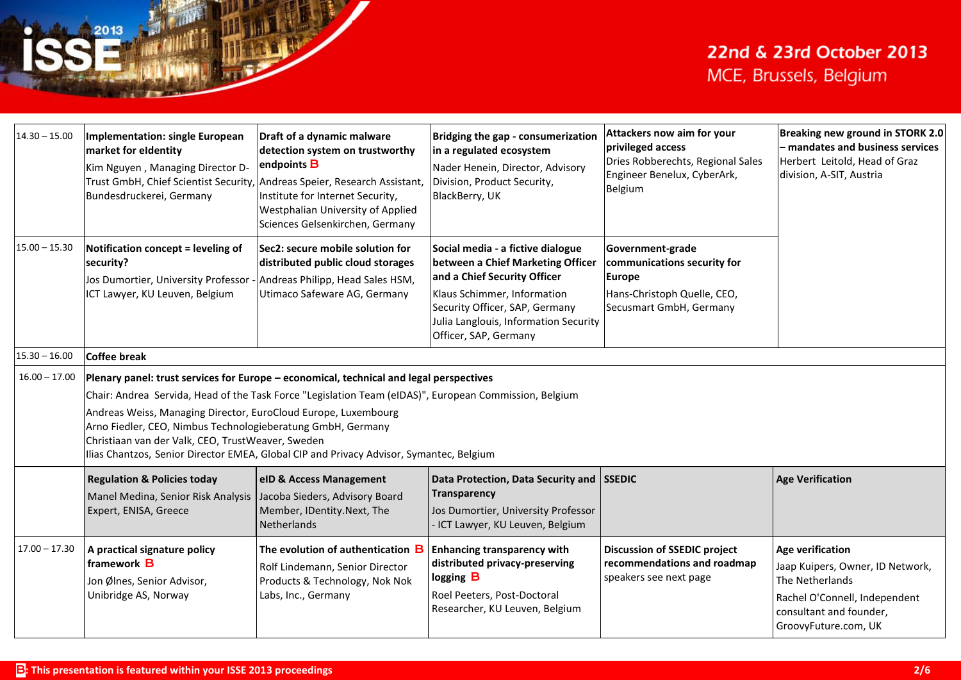| $14.30 - 15.00$ | <b>Implementation: single European</b><br>market for eldentity<br>Kim Nguyen, Managing Director D-<br>Trust GmbH, Chief Scientist Security, Andreas Speier, Research Assistant,<br>Bundesdruckerei, Germany                                                                                                                                                                                                                                                                        | Draft of a dynamic malware<br>detection system on trustworthy<br>endpoints <b>B</b><br>Institute for Internet Security,<br>Westphalian University of Applied<br>Sciences Gelsenkirchen, Germany | Bridging the gap - consumerization<br>in a regulated ecosystem<br>Nader Henein, Director, Advisory<br>Division, Product Security,<br>BlackBerry, UK                                                                                       | Attackers now aim for your<br>privileged access<br>Dries Robberechts, Regional Sales<br>Engineer Benelux, CyberArk,<br>Belgium | Breaking new ground in STORK 2.0<br>- mandates and business services<br>Herbert Leitold, Head of Graz<br>division, A-SIT, Austria                                  |  |
|-----------------|------------------------------------------------------------------------------------------------------------------------------------------------------------------------------------------------------------------------------------------------------------------------------------------------------------------------------------------------------------------------------------------------------------------------------------------------------------------------------------|-------------------------------------------------------------------------------------------------------------------------------------------------------------------------------------------------|-------------------------------------------------------------------------------------------------------------------------------------------------------------------------------------------------------------------------------------------|--------------------------------------------------------------------------------------------------------------------------------|--------------------------------------------------------------------------------------------------------------------------------------------------------------------|--|
| $15.00 - 15.30$ | Notification concept = leveling of<br>security?<br>Jos Dumortier, University Professor -<br>ICT Lawyer, KU Leuven, Belgium                                                                                                                                                                                                                                                                                                                                                         | Sec2: secure mobile solution for<br>distributed public cloud storages<br>Andreas Philipp, Head Sales HSM,<br>Utimaco Safeware AG, Germany                                                       | Social media - a fictive dialogue<br>between a Chief Marketing Officer<br>and a Chief Security Officer<br>Klaus Schimmer, Information<br>Security Officer, SAP, Germany<br>Julia Langlouis, Information Security<br>Officer, SAP, Germany | Government-grade<br>communications security for<br><b>Europe</b><br>Hans-Christoph Quelle, CEO,<br>Secusmart GmbH, Germany     |                                                                                                                                                                    |  |
| $15.30 - 16.00$ | <b>Coffee break</b>                                                                                                                                                                                                                                                                                                                                                                                                                                                                |                                                                                                                                                                                                 |                                                                                                                                                                                                                                           |                                                                                                                                |                                                                                                                                                                    |  |
| $16.00 - 17.00$ | Plenary panel: trust services for Europe - economical, technical and legal perspectives<br>Chair: Andrea Servida, Head of the Task Force "Legislation Team (eIDAS)", European Commission, Belgium<br>Andreas Weiss, Managing Director, EuroCloud Europe, Luxembourg<br>Arno Fiedler, CEO, Nimbus Technologieberatung GmbH, Germany<br>Christiaan van der Valk, CEO, TrustWeaver, Sweden<br>Ilias Chantzos, Senior Director EMEA, Global CIP and Privacy Advisor, Symantec, Belgium |                                                                                                                                                                                                 |                                                                                                                                                                                                                                           |                                                                                                                                |                                                                                                                                                                    |  |
|                 | <b>Regulation &amp; Policies today</b><br>Manel Medina, Senior Risk Analysis<br>Expert, ENISA, Greece                                                                                                                                                                                                                                                                                                                                                                              | eID & Access Management<br>Jacoba Sieders, Advisory Board<br>Member, IDentity.Next, The<br>Netherlands                                                                                          | Data Protection, Data Security and SSEDIC<br><b>Transparency</b><br>Jos Dumortier, University Professor<br>- ICT Lawyer, KU Leuven, Belgium                                                                                               |                                                                                                                                | <b>Age Verification</b>                                                                                                                                            |  |
| $17.00 - 17.30$ | A practical signature policy<br>framework <b>B</b><br>Jon Ølnes, Senior Advisor,<br>Unibridge AS, Norway                                                                                                                                                                                                                                                                                                                                                                           | The evolution of authentication <b>B</b><br>Rolf Lindemann, Senior Director<br>Products & Technology, Nok Nok<br>Labs, Inc., Germany                                                            | <b>Enhancing transparency with</b><br>distributed privacy-preserving<br>logging $\mathbf B$<br>Roel Peeters, Post-Doctoral<br>Researcher, KU Leuven, Belgium                                                                              | <b>Discussion of SSEDIC project</b><br>recommendations and roadmap<br>speakers see next page                                   | <b>Age verification</b><br>Jaap Kuipers, Owner, ID Network,<br>The Netherlands<br>Rachel O'Connell, Independent<br>consultant and founder,<br>GroovyFuture.com, UK |  |

2013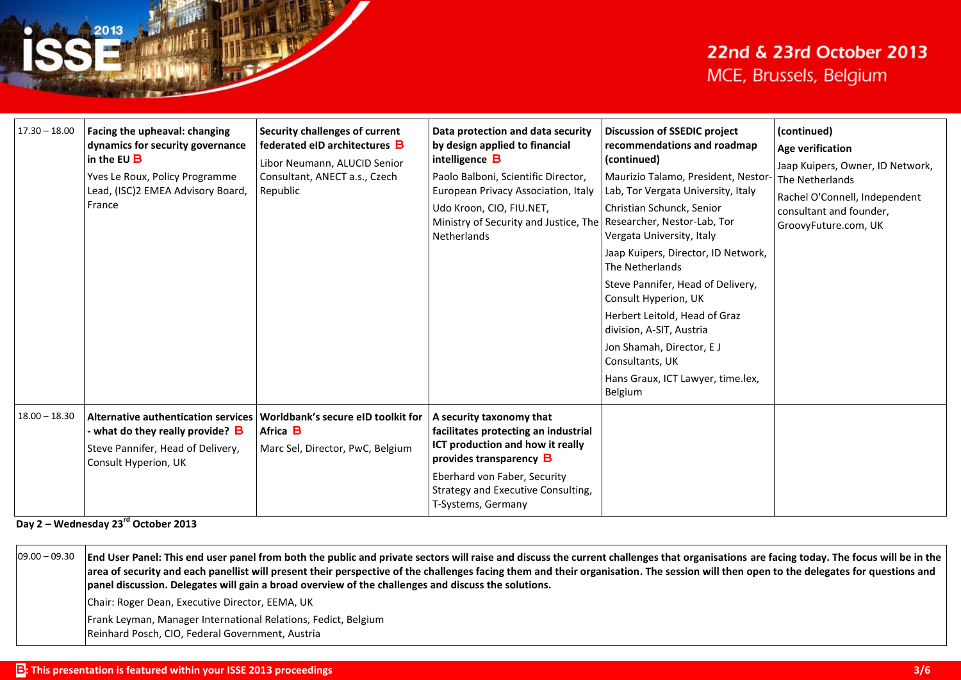| $17.30 - 18.00$ | Facing the upheaval: changing<br>dynamics for security governance<br>in the EU $\bf{B}$<br>Yves Le Roux, Policy Programme<br>Lead, (ISC)2 EMEA Advisory Board,<br>France | <b>Security challenges of current</b><br>federated eID architectures B<br>Libor Neumann, ALUCID Senior<br>Consultant, ANECT a.s., Czech<br>Republic | Data protection and data security<br>by design applied to financial<br>intelligence <b>B</b><br>Paolo Balboni, Scientific Director,<br>European Privacy Association, Italy<br>Udo Kroon, CIO, FIU.NET,<br>Ministry of Security and Justice, The Researcher, Nestor-Lab, Tor<br>Netherlands | <b>Discussion of SSEDIC project</b><br>recommendations and roadmap<br>(continued)<br>Maurizio Talamo, President, Nestor-<br>Lab, Tor Vergata University, Italy<br>Christian Schunck, Senior<br>Vergata University, Italy<br>Jaap Kuipers, Director, ID Network,<br>The Netherlands<br>Steve Pannifer, Head of Delivery,<br>Consult Hyperion, UK<br>Herbert Leitold, Head of Graz<br>division, A-SIT, Austria<br>Jon Shamah, Director, EJ<br>Consultants, UK<br>Hans Graux, ICT Lawyer, time.lex,<br>Belgium | (continued)<br><b>Age verification</b><br>Jaap Kuipers, Owner, ID Network,<br>The Netherlands<br>Rachel O'Connell, Independent<br>consultant and founder,<br>GroovyFuture.com, UK |
|-----------------|--------------------------------------------------------------------------------------------------------------------------------------------------------------------------|-----------------------------------------------------------------------------------------------------------------------------------------------------|--------------------------------------------------------------------------------------------------------------------------------------------------------------------------------------------------------------------------------------------------------------------------------------------|-------------------------------------------------------------------------------------------------------------------------------------------------------------------------------------------------------------------------------------------------------------------------------------------------------------------------------------------------------------------------------------------------------------------------------------------------------------------------------------------------------------|-----------------------------------------------------------------------------------------------------------------------------------------------------------------------------------|
| $18.00 - 18.30$ | <b>Alternative authentication services</b><br>- what do they really provide? <b>B</b><br>Steve Pannifer, Head of Delivery,<br>Consult Hyperion, UK                       | Worldbank's secure eID toolkit for<br>Africa <b>B</b><br>Marc Sel, Director, PwC, Belgium                                                           | A security taxonomy that<br>facilitates protecting an industrial<br>ICT production and how it really<br>provides transparency B<br>Eberhard von Faber, Security<br>Strategy and Executive Consulting,<br>T-Systems, Germany                                                                |                                                                                                                                                                                                                                                                                                                                                                                                                                                                                                             |                                                                                                                                                                                   |

**Day 2 – Wednesday 23 rd October 2013**

09.00 – 09.30 **End User Panel: This end user panel from both the public and private sectors will raise and discuss the current challenges that organisations are facing today. The focus will be in the area of security and each panellist will present their perspective of the challenges facing them and their organisation. The session will then open to the delegates for questions and panel discussion. Delegates will gain a broad overview of the challenges and discuss the solutions.**

Chair: Roger Dean, Executive Director, EEMA, UK

Frank Leyman, Manager International Relations, Fedict, Belgium

Reinhard Posch, CIO, Federal Government, Austria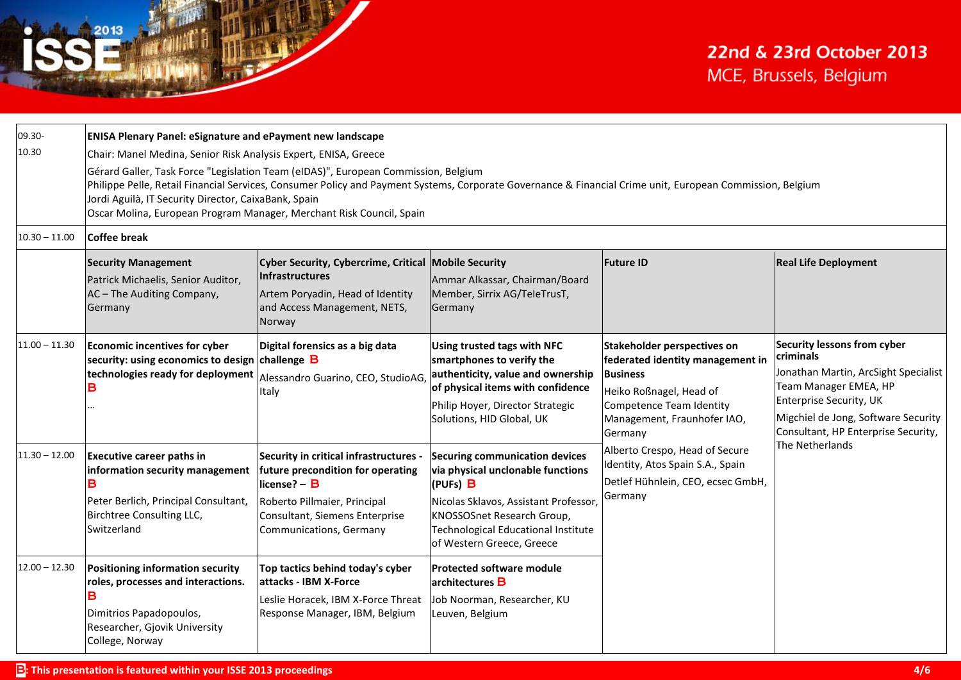| 09.30-<br>10.30 | <b>ENISA Plenary Panel: eSignature and ePayment new landscape</b><br>Chair: Manel Medina, Senior Risk Analysis Expert, ENISA, Greece<br>Gérard Galler, Task Force "Legislation Team (eIDAS)", European Commission, Belgium<br>Philippe Pelle, Retail Financial Services, Consumer Policy and Payment Systems, Corporate Governance & Financial Crime unit, European Commission, Belgium<br>Jordi Aguilà, IT Security Director, CaixaBank, Spain<br>Oscar Molina, European Program Manager, Merchant Risk Council, Spain |                                                                                                                                                                                          |                                                                                                                                                                                                                                          |                                                                                                                                                                                            |                                                                                                                                                                                                                                              |
|-----------------|-------------------------------------------------------------------------------------------------------------------------------------------------------------------------------------------------------------------------------------------------------------------------------------------------------------------------------------------------------------------------------------------------------------------------------------------------------------------------------------------------------------------------|------------------------------------------------------------------------------------------------------------------------------------------------------------------------------------------|------------------------------------------------------------------------------------------------------------------------------------------------------------------------------------------------------------------------------------------|--------------------------------------------------------------------------------------------------------------------------------------------------------------------------------------------|----------------------------------------------------------------------------------------------------------------------------------------------------------------------------------------------------------------------------------------------|
| $10.30 - 11.00$ | Coffee break                                                                                                                                                                                                                                                                                                                                                                                                                                                                                                            |                                                                                                                                                                                          |                                                                                                                                                                                                                                          |                                                                                                                                                                                            |                                                                                                                                                                                                                                              |
|                 | <b>Security Management</b><br>Patrick Michaelis, Senior Auditor,<br>AC - The Auditing Company,<br>Germany                                                                                                                                                                                                                                                                                                                                                                                                               | Cyber Security, Cybercrime, Critical Mobile Security<br>Infrastructures<br>Artem Poryadin, Head of Identity<br>and Access Management, NETS,<br>Norway                                    | Ammar Alkassar, Chairman/Board<br>Member, Sirrix AG/TeleTrusT,<br>Germany                                                                                                                                                                | <b>Future ID</b>                                                                                                                                                                           | <b>Real Life Deployment</b>                                                                                                                                                                                                                  |
| $11.00 - 11.30$ | Economic incentives for cyber<br>security: using economics to design challenge $\, {\bf B} \,$<br>technologies ready for deployment                                                                                                                                                                                                                                                                                                                                                                                     | Digital forensics as a big data<br>Alessandro Guarino, CEO, StudioAG,<br>Italy                                                                                                           | Using trusted tags with NFC<br>smartphones to verify the<br>authenticity, value and ownership<br>of physical items with confidence<br>Philip Hoyer, Director Strategic<br>Solutions, HID Global, UK                                      | <b>Stakeholder perspectives on</b><br>federated identity management in<br><b>Business</b><br>Heiko Roßnagel, Head of<br>Competence Team Identity<br>Management, Fraunhofer IAO,<br>Germany | Security lessons from cyber<br>criminals<br>Jonathan Martin, ArcSight Specialist<br>Team Manager EMEA, HP<br><b>Enterprise Security, UK</b><br>Migchiel de Jong, Software Security<br>Consultant, HP Enterprise Security,<br>The Netherlands |
| $11.30 - 12.00$ | <b>Executive career paths in</b><br>information security management<br>Peter Berlich, Principal Consultant,<br>Birchtree Consulting LLC,<br>Switzerland                                                                                                                                                                                                                                                                                                                                                                 | Security in critical infrastructures -<br>future precondition for operating<br>license? - B<br>Roberto Pillmaier, Principal<br>Consultant, Siemens Enterprise<br>Communications, Germany | <b>Securing communication devices</b><br>via physical unclonable functions<br>(PUFs) B<br>Nicolas Sklavos, Assistant Professor,<br>KNOSSOSnet Research Group,<br><b>Technological Educational Institute</b><br>of Western Greece, Greece | Alberto Crespo, Head of Secure<br>Identity, Atos Spain S.A., Spain<br>Detlef Hühnlein, CEO, ecsec GmbH,<br>Germany                                                                         |                                                                                                                                                                                                                                              |
| $12.00 - 12.30$ | Positioning information security<br>roles, processes and interactions.<br>Dimitrios Papadopoulos,<br>Researcher, Gjovik University<br>College, Norway                                                                                                                                                                                                                                                                                                                                                                   | Top tactics behind today's cyber<br>attacks - IBM X-Force<br>Leslie Horacek, IBM X-Force Threat<br>Response Manager, IBM, Belgium                                                        | <b>Protected software module</b><br>architectures B<br>Job Noorman, Researcher, KU<br>Leuven, Belgium                                                                                                                                    |                                                                                                                                                                                            |                                                                                                                                                                                                                                              |

2013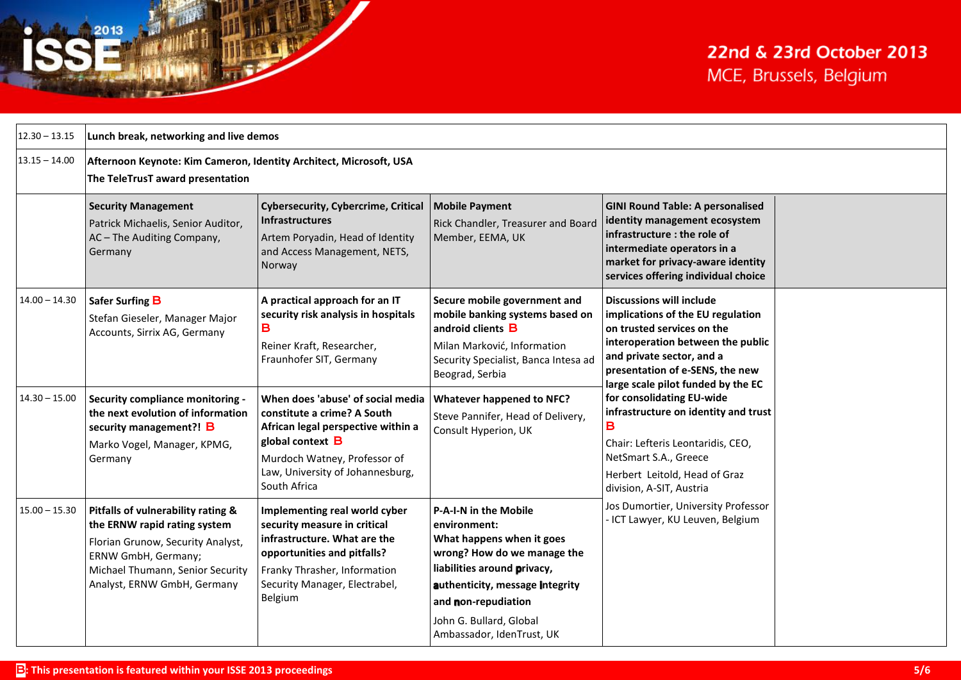| $12.30 - 13.15$                    | Lunch break, networking and live demos                                                                                                                                                                                                 |                                                                                                                                                                                                                                                                                                                                                      |                                                                                                                                                                                                                                                                                        |                                                                                                                                                                                                                                                                                                                                                                                                                                                    |  |
|------------------------------------|----------------------------------------------------------------------------------------------------------------------------------------------------------------------------------------------------------------------------------------|------------------------------------------------------------------------------------------------------------------------------------------------------------------------------------------------------------------------------------------------------------------------------------------------------------------------------------------------------|----------------------------------------------------------------------------------------------------------------------------------------------------------------------------------------------------------------------------------------------------------------------------------------|----------------------------------------------------------------------------------------------------------------------------------------------------------------------------------------------------------------------------------------------------------------------------------------------------------------------------------------------------------------------------------------------------------------------------------------------------|--|
| $13.15 - 14.00$                    | Afternoon Keynote: Kim Cameron, Identity Architect, Microsoft, USA<br>The TeleTrusT award presentation                                                                                                                                 |                                                                                                                                                                                                                                                                                                                                                      |                                                                                                                                                                                                                                                                                        |                                                                                                                                                                                                                                                                                                                                                                                                                                                    |  |
|                                    | <b>Security Management</b><br>Patrick Michaelis, Senior Auditor,<br>AC - The Auditing Company,<br>Germany                                                                                                                              | <b>Cybersecurity, Cybercrime, Critical</b><br><b>Infrastructures</b><br>Artem Poryadin, Head of Identity<br>and Access Management, NETS,<br>Norway                                                                                                                                                                                                   | <b>Mobile Payment</b><br>Rick Chandler, Treasurer and Board<br>Member, EEMA, UK                                                                                                                                                                                                        | <b>GINI Round Table: A personalised</b><br>identity management ecosystem<br>infrastructure : the role of<br>intermediate operators in a<br>market for privacy-aware identity<br>services offering individual choice                                                                                                                                                                                                                                |  |
| $14.00 - 14.30$<br>$14.30 - 15.00$ | Safer Surfing B<br>Stefan Gieseler, Manager Major<br>Accounts, Sirrix AG, Germany<br><b>Security compliance monitoring -</b><br>the next evolution of information<br>security management?! B<br>Marko Vogel, Manager, KPMG,<br>Germany | A practical approach for an IT<br>security risk analysis in hospitals<br>B<br>Reiner Kraft, Researcher,<br>Fraunhofer SIT, Germany<br>When does 'abuse' of social media<br>constitute a crime? A South<br>African legal perspective within a<br>global context B<br>Murdoch Watney, Professor of<br>Law, University of Johannesburg,<br>South Africa | Secure mobile government and<br>mobile banking systems based on<br>android clients <b>B</b><br>Milan Marković, Information<br>Security Specialist, Banca Intesa ad<br>Beograd, Serbia<br><b>Whatever happened to NFC?</b><br>Steve Pannifer, Head of Delivery,<br>Consult Hyperion, UK | <b>Discussions will include</b><br>implications of the EU regulation<br>on trusted services on the<br>interoperation between the public<br>and private sector, and a<br>presentation of e-SENS, the new<br>large scale pilot funded by the EC<br>for consolidating EU-wide<br>infrastructure on identity and trust<br>в<br>Chair: Lefteris Leontaridis, CEO,<br>NetSmart S.A., Greece<br>Herbert Leitold, Head of Graz<br>division, A-SIT, Austria |  |
| $15.00 - 15.30$                    | Pitfalls of vulnerability rating &<br>the ERNW rapid rating system<br>Florian Grunow, Security Analyst,<br>ERNW GmbH, Germany;<br>Michael Thumann, Senior Security<br>Analyst, ERNW GmbH, Germany                                      | Implementing real world cyber<br>security measure in critical<br>infrastructure. What are the<br>opportunities and pitfalls?<br>Franky Thrasher, Information<br>Security Manager, Electrabel,<br>Belgium                                                                                                                                             | P-A-I-N in the Mobile<br>environment:<br>What happens when it goes<br>wrong? How do we manage the<br>liabilities around privacy,<br>authenticity, message integrity<br>and non-repudiation<br>John G. Bullard, Global<br>Ambassador, IdenTrust, UK                                     | Jos Dumortier, University Professor<br>- ICT Lawyer, KU Leuven, Belgium                                                                                                                                                                                                                                                                                                                                                                            |  |

2013